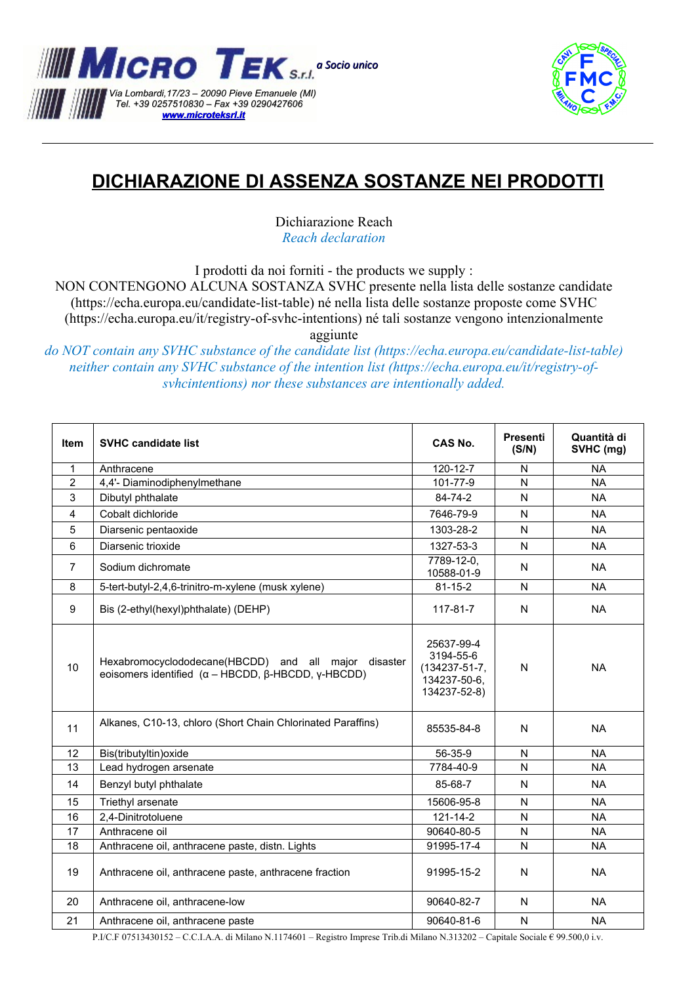



## **DICHIARAZIONE DI ASSENZA SOSTANZE NEI PRODOTTI**

Dichiarazione Reach *Reach declaration*

I prodotti da noi forniti - the products we supply :

NON CONTENGONO ALCUNA SOSTANZA SVHC presente nella lista delle sostanze candidate (https://echa.europa.eu/candidate-list-table) né nella lista delle sostanze proposte come SVHC (https://echa.europa.eu/it/registry-of-svhc-intentions) né tali sostanze vengono intenzionalmente aggiunte

*do NOT contain any SVHC substance of the candidate list (https://echa.europa.eu/candidate-list-table) neither contain any SVHC substance of the intention list (https://echa.europa.eu/it/registry-ofsvhcintentions) nor these substances are intentionally added.* 

| Item           | <b>SVHC candidate list</b>                                                                                                     | CAS No.                                                                        | <b>Presenti</b><br>(S/N) | Quantità di<br>SVHC (mg) |
|----------------|--------------------------------------------------------------------------------------------------------------------------------|--------------------------------------------------------------------------------|--------------------------|--------------------------|
| $\mathbf{1}$   | Anthracene                                                                                                                     | $120 - 12 - 7$                                                                 | N                        | <b>NA</b>                |
| $\overline{2}$ | 4,4'- Diaminodiphenylmethane                                                                                                   | 101-77-9                                                                       | N                        | <b>NA</b>                |
| 3              | Dibutyl phthalate                                                                                                              | 84-74-2                                                                        | N                        | <b>NA</b>                |
| 4              | Cobalt dichloride                                                                                                              | 7646-79-9                                                                      | N                        | <b>NA</b>                |
| 5              | Diarsenic pentaoxide                                                                                                           | 1303-28-2                                                                      | N                        | <b>NA</b>                |
| 6              | Diarsenic trioxide                                                                                                             | 1327-53-3                                                                      | N                        | <b>NA</b>                |
| 7              | Sodium dichromate                                                                                                              | 7789-12-0,<br>10588-01-9                                                       | N                        | <b>NA</b>                |
| 8              | 5-tert-butyl-2,4,6-trinitro-m-xylene (musk xylene)                                                                             | $81 - 15 - 2$                                                                  | $\mathsf{N}$             | <b>NA</b>                |
| 9              | Bis (2-ethyl(hexyl)phthalate) (DEHP)                                                                                           | 117-81-7                                                                       | N                        | <b>NA</b>                |
| 10             | Hexabromocyclododecane(HBCDD) and all major disaster<br>eoisomers identified $(\alpha - HBCDD, \beta - HBCDD, \gamma - HBCDD)$ | 25637-99-4<br>3194-55-6<br>$(134237 - 51 - 7,$<br>134237-50-6,<br>134237-52-8) | N                        | <b>NA</b>                |
| 11             | Alkanes, C10-13, chloro (Short Chain Chlorinated Paraffins)                                                                    | 85535-84-8                                                                     | N                        | <b>NA</b>                |
| 12             | Bis(tributyltin) oxide                                                                                                         | 56-35-9                                                                        | N                        | <b>NA</b>                |
| 13             | Lead hydrogen arsenate                                                                                                         | 7784-40-9                                                                      | N                        | <b>NA</b>                |
| 14             | Benzyl butyl phthalate                                                                                                         | 85-68-7                                                                        | N                        | <b>NA</b>                |
| 15             | Triethyl arsenate                                                                                                              | 15606-95-8                                                                     | N                        | <b>NA</b>                |
| 16             | 2,4-Dinitrotoluene                                                                                                             | 121-14-2                                                                       | N                        | <b>NA</b>                |
| 17             | Anthracene oil                                                                                                                 | 90640-80-5                                                                     | N                        | <b>NA</b>                |
| 18             | Anthracene oil, anthracene paste, distn. Lights                                                                                | 91995-17-4                                                                     | N                        | <b>NA</b>                |
| 19             | Anthracene oil, anthracene paste, anthracene fraction                                                                          | 91995-15-2                                                                     | N                        | <b>NA</b>                |
| 20             | Anthracene oil, anthracene-low                                                                                                 | 90640-82-7                                                                     | N                        | <b>NA</b>                |
| 21             | Anthracene oil, anthracene paste                                                                                               | 90640-81-6                                                                     | N                        | <b>NA</b>                |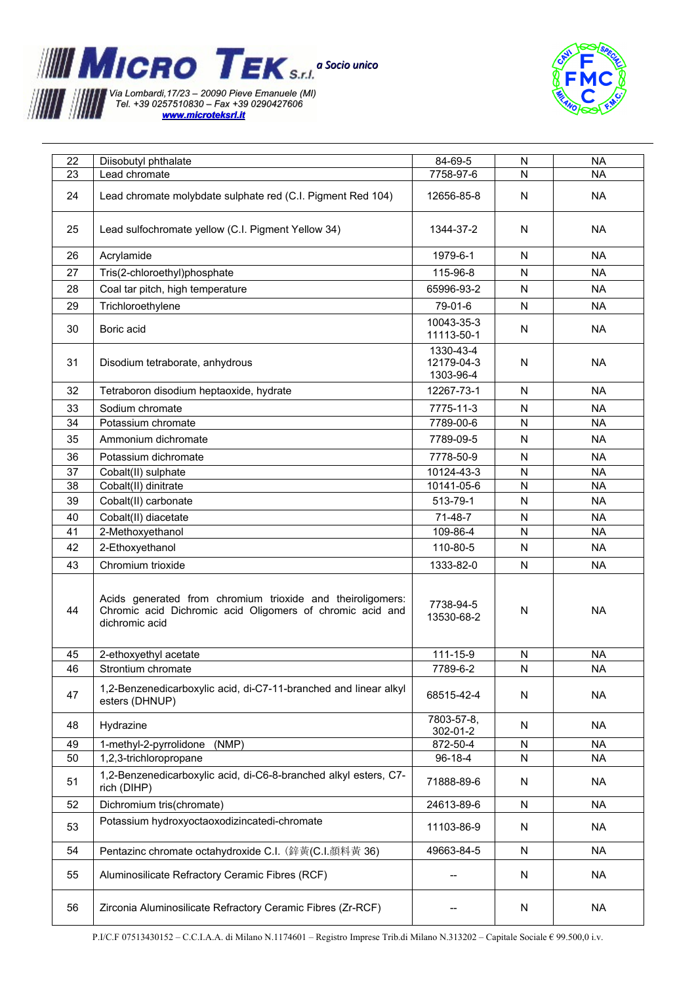



| 22 | Diisobutyl phthalate                                                                                                                      | 84-69-5                              | N            | <b>NA</b> |
|----|-------------------------------------------------------------------------------------------------------------------------------------------|--------------------------------------|--------------|-----------|
| 23 | Lead chromate                                                                                                                             | 7758-97-6                            | N            | <b>NA</b> |
| 24 | Lead chromate molybdate sulphate red (C.I. Pigment Red 104)                                                                               | 12656-85-8                           | N            | <b>NA</b> |
| 25 | Lead sulfochromate yellow (C.I. Pigment Yellow 34)                                                                                        | 1344-37-2                            | N            | <b>NA</b> |
| 26 | Acrylamide                                                                                                                                | 1979-6-1                             | N            | <b>NA</b> |
| 27 | Tris(2-chloroethyl)phosphate                                                                                                              | 115-96-8                             | N            | <b>NA</b> |
| 28 | Coal tar pitch, high temperature                                                                                                          | 65996-93-2                           | N            | <b>NA</b> |
| 29 | Trichloroethylene                                                                                                                         | 79-01-6                              | N            | <b>NA</b> |
| 30 | Boric acid                                                                                                                                | 10043-35-3<br>11113-50-1             | N            | <b>NA</b> |
| 31 | Disodium tetraborate, anhydrous                                                                                                           | 1330-43-4<br>12179-04-3<br>1303-96-4 | N            | <b>NA</b> |
| 32 | Tetraboron disodium heptaoxide, hydrate                                                                                                   | 12267-73-1                           | N            | <b>NA</b> |
| 33 | Sodium chromate                                                                                                                           | 7775-11-3                            | ${\sf N}$    | <b>NA</b> |
| 34 | Potassium chromate                                                                                                                        | 7789-00-6                            | N            | <b>NA</b> |
| 35 | Ammonium dichromate                                                                                                                       | 7789-09-5                            | N            | <b>NA</b> |
| 36 | Potassium dichromate                                                                                                                      | 7778-50-9                            | N            | <b>NA</b> |
| 37 | Cobalt(II) sulphate                                                                                                                       | 10124-43-3                           | N            | <b>NA</b> |
| 38 | Cobalt(II) dinitrate                                                                                                                      | 10141-05-6                           | ${\sf N}$    | <b>NA</b> |
| 39 | Cobalt(II) carbonate                                                                                                                      | 513-79-1                             | N            | <b>NA</b> |
| 40 | Cobalt(II) diacetate                                                                                                                      | 71-48-7                              | $\mathsf{N}$ | <b>NA</b> |
| 41 | 2-Methoxyethanol                                                                                                                          | 109-86-4                             | N            | <b>NA</b> |
| 42 | 2-Ethoxyethanol                                                                                                                           | 110-80-5                             | N            | <b>NA</b> |
| 43 | Chromium trioxide                                                                                                                         | 1333-82-0                            | N            | <b>NA</b> |
| 44 | Acids generated from chromium trioxide and theiroligomers:<br>Chromic acid Dichromic acid Oligomers of chromic acid and<br>dichromic acid | 7738-94-5<br>13530-68-2              | N            | <b>NA</b> |
| 45 | 2-ethoxyethyl acetate                                                                                                                     | 111-15-9                             | N            | <b>NA</b> |
| 46 | Strontium chromate                                                                                                                        | 7789-6-2                             | N            | <b>NA</b> |
| 47 | 1,2-Benzenedicarboxylic acid, di-C7-11-branched and linear alkyl<br>esters (DHNUP)                                                        | 68515-42-4                           | N            | <b>NA</b> |
| 48 | Hydrazine                                                                                                                                 | 7803-57-8,<br>302-01-2               | N            | <b>NA</b> |
| 49 | 1-methyl-2-pyrrolidone<br>(NMP)                                                                                                           | 872-50-4                             | N            | <b>NA</b> |
| 50 | 1,2,3-trichloropropane                                                                                                                    | 96-18-4                              | ${\sf N}$    | <b>NA</b> |
| 51 | 1,2-Benzenedicarboxylic acid, di-C6-8-branched alkyl esters, C7-<br>rich (DIHP)                                                           | 71888-89-6                           | N            | <b>NA</b> |
| 52 | Dichromium tris(chromate)                                                                                                                 | 24613-89-6                           | N            | <b>NA</b> |
| 53 | Potassium hydroxyoctaoxodizincatedi-chromate                                                                                              | 11103-86-9                           | N            | <b>NA</b> |
| 54 | Pentazinc chromate octahydroxide C.I. (鋅黄(C.I.顏料黃 36)                                                                                     | 49663-84-5                           | N            | <b>NA</b> |
| 55 | Aluminosilicate Refractory Ceramic Fibres (RCF)                                                                                           | --                                   | N            | <b>NA</b> |
| 56 | Zirconia Aluminosilicate Refractory Ceramic Fibres (Zr-RCF)                                                                               |                                      | N            | <b>NA</b> |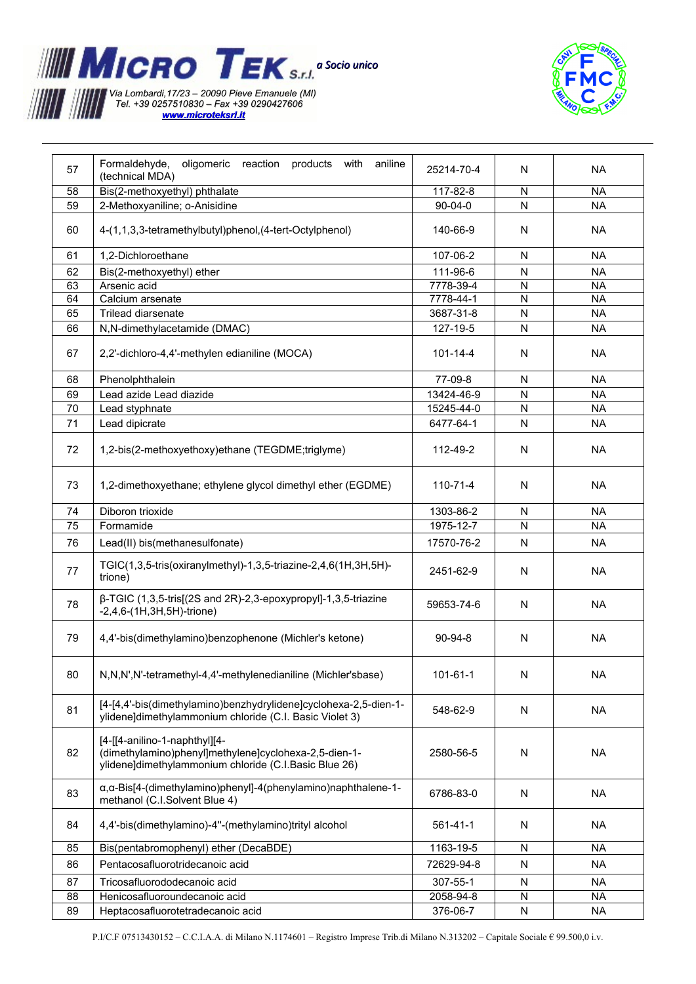

 *[www.microteksrl.it](http://www.microteksrl.it/)*



| 57 | Formaldehyde,<br>oligomeric<br>reaction products with aniline<br>(technical MDA)                                                                | 25214-70-4    | N         | <b>NA</b> |
|----|-------------------------------------------------------------------------------------------------------------------------------------------------|---------------|-----------|-----------|
| 58 | Bis(2-methoxyethyl) phthalate                                                                                                                   | 117-82-8      | N         | <b>NA</b> |
| 59 | 2-Methoxyaniline; o-Anisidine                                                                                                                   | $90 - 04 - 0$ | N         | <b>NA</b> |
| 60 | 4-(1,1,3,3-tetramethylbutyl)phenol, (4-tert-Octylphenol)                                                                                        | 140-66-9      | N         | <b>NA</b> |
| 61 | 1,2-Dichloroethane                                                                                                                              | 107-06-2      | N         | <b>NA</b> |
| 62 | Bis(2-methoxyethyl) ether                                                                                                                       | 111-96-6      | N         | <b>NA</b> |
| 63 | Arsenic acid                                                                                                                                    | 7778-39-4     | N         | <b>NA</b> |
| 64 | Calcium arsenate                                                                                                                                | 7778-44-1     | N         | <b>NA</b> |
| 65 | Trilead diarsenate                                                                                                                              | 3687-31-8     | N         | <b>NA</b> |
|    |                                                                                                                                                 |               |           |           |
| 66 | N,N-dimethylacetamide (DMAC)                                                                                                                    | 127-19-5      | N         | <b>NA</b> |
| 67 | 2,2'-dichloro-4,4'-methylen edianiline (MOCA)                                                                                                   | 101-14-4      | N         | <b>NA</b> |
| 68 | Phenolphthalein                                                                                                                                 | 77-09-8       | N         | <b>NA</b> |
| 69 | Lead azide Lead diazide                                                                                                                         | 13424-46-9    | N         | <b>NA</b> |
| 70 | Lead styphnate                                                                                                                                  | 15245-44-0    | N         | <b>NA</b> |
|    |                                                                                                                                                 |               |           |           |
| 71 | Lead dipicrate                                                                                                                                  | 6477-64-1     | N         | <b>NA</b> |
| 72 | 1,2-bis(2-methoxyethoxy)ethane (TEGDME;triglyme)                                                                                                | 112-49-2      | N         | <b>NA</b> |
| 73 | 1,2-dimethoxyethane; ethylene glycol dimethyl ether (EGDME)                                                                                     | 110-71-4      | N         | <b>NA</b> |
| 74 | Diboron trioxide                                                                                                                                | 1303-86-2     | N         | <b>NA</b> |
| 75 | Formamide                                                                                                                                       | 1975-12-7     | N         | <b>NA</b> |
|    |                                                                                                                                                 |               |           |           |
| 76 | Lead(II) bis(methanesulfonate)                                                                                                                  | 17570-76-2    | N         | <b>NA</b> |
| 77 | TGIC(1,3,5-tris(oxiranylmethyl)-1,3,5-triazine-2,4,6(1H,3H,5H)-<br>trione)                                                                      | 2451-62-9     | N         | <b>NA</b> |
| 78 | β-TGIC (1,3,5-tris[(2S and 2R)-2,3-epoxypropyl]-1,3,5-triazine<br>$-2,4,6-(1H,3H,5H)$ -trione)                                                  | 59653-74-6    | N         | <b>NA</b> |
| 79 | 4,4'-bis(dimethylamino)benzophenone (Michler's ketone)                                                                                          | $90-94-8$     | N         | <b>NA</b> |
| 80 | N,N,N',N'-tetramethyl-4,4'-methylenedianiline (Michler'sbase)                                                                                   | 101-61-1      | N         | <b>NA</b> |
| 81 | [4-[4,4'-bis(dimethylamino)benzhydrylidene]cyclohexa-2,5-dien-1-<br>ylidene]dimethylammonium chloride (C.I. Basic Violet 3)                     | 548-62-9      | N         | <b>NA</b> |
| 82 | [4-[[4-anilino-1-naphthyl][4-<br>(dimethylamino)phenyl]methylene]cyclohexa-2,5-dien-1-<br>ylidene]dimethylammonium chloride (C.I.Basic Blue 26) | 2580-56-5     | ${\sf N}$ | <b>NA</b> |
| 83 | α, α-Bis[4-(dimethylamino)phenyl]-4(phenylamino)naphthalene-1-<br>methanol (C.I.Solvent Blue 4)                                                 | 6786-83-0     | N         | <b>NA</b> |
| 84 | 4,4'-bis(dimethylamino)-4"-(methylamino)trityl alcohol                                                                                          | 561-41-1      | N         | <b>NA</b> |
| 85 | Bis(pentabromophenyl) ether (DecaBDE)                                                                                                           | 1163-19-5     | N         | <b>NA</b> |
| 86 | Pentacosafluorotridecanoic acid                                                                                                                 | 72629-94-8    | ${\sf N}$ | <b>NA</b> |
| 87 | Tricosafluorododecanoic acid                                                                                                                    | 307-55-1      | ${\sf N}$ | NA        |
| 88 | Henicosafluoroundecanoic acid                                                                                                                   | 2058-94-8     | N         | NA        |
| 89 | Heptacosafluorotetradecanoic acid                                                                                                               | 376-06-7      | N         | NA        |
|    |                                                                                                                                                 |               |           |           |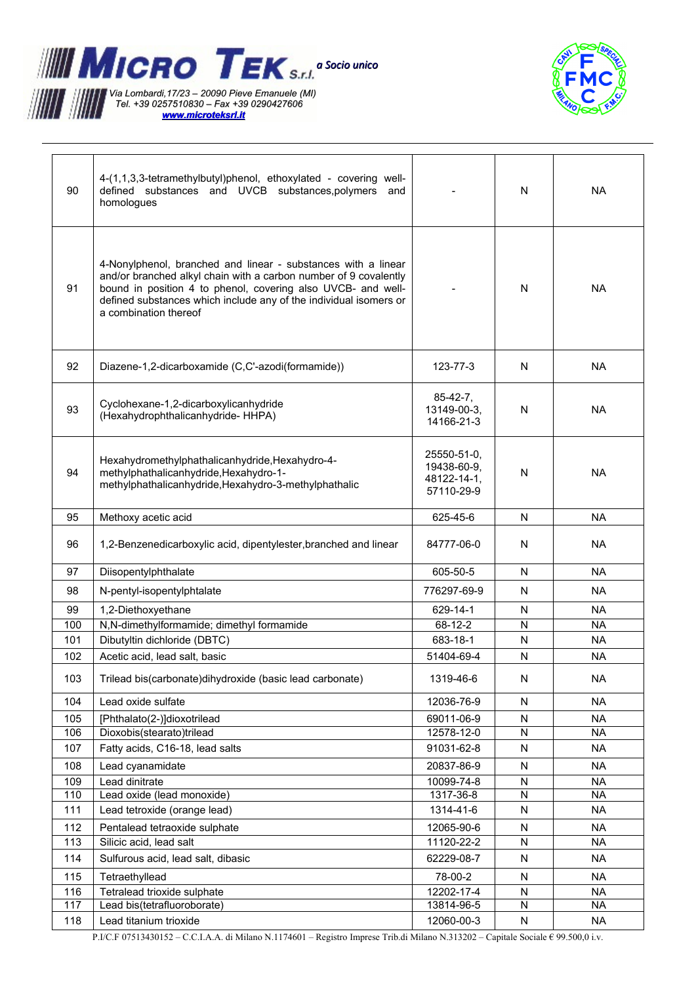

 *[www.microteksrl.it](http://www.microteksrl.it/)*



| 90  | 4-(1,1,3,3-tetramethylbutyl)phenol, ethoxylated - covering well-<br>defined substances and UVCB substances, polymers<br>and<br>homologues                                                                                                                                                       |                                                         | N            | <b>NA</b> |
|-----|-------------------------------------------------------------------------------------------------------------------------------------------------------------------------------------------------------------------------------------------------------------------------------------------------|---------------------------------------------------------|--------------|-----------|
| 91  | 4-Nonylphenol, branched and linear - substances with a linear<br>and/or branched alkyl chain with a carbon number of 9 covalently<br>bound in position 4 to phenol, covering also UVCB- and well-<br>defined substances which include any of the individual isomers or<br>a combination thereof |                                                         | N            | <b>NA</b> |
| 92  | Diazene-1,2-dicarboxamide (C,C'-azodi(formamide))                                                                                                                                                                                                                                               | 123-77-3                                                | N            | NA.       |
| 93  | Cyclohexane-1,2-dicarboxylicanhydride<br>(Hexahydrophthalicanhydride-HHPA)                                                                                                                                                                                                                      | $85-42-7,$<br>13149-00-3,<br>14166-21-3                 | N            | <b>NA</b> |
| 94  | Hexahydromethylphathalicanhydride, Hexahydro-4-<br>methylphathalicanhydride, Hexahydro-1-<br>methylphathalicanhydride, Hexahydro-3-methylphathalic                                                                                                                                              | 25550-51-0,<br>19438-60-9,<br>48122-14-1,<br>57110-29-9 | N            | <b>NA</b> |
| 95  | Methoxy acetic acid                                                                                                                                                                                                                                                                             | 625-45-6                                                | N            | <b>NA</b> |
| 96  | 1,2-Benzenedicarboxylic acid, dipentylester, branched and linear                                                                                                                                                                                                                                | 84777-06-0                                              | N            | NA        |
| 97  | Diisopentylphthalate                                                                                                                                                                                                                                                                            | 605-50-5                                                | N            | <b>NA</b> |
| 98  | N-pentyl-isopentylphtalate                                                                                                                                                                                                                                                                      | 776297-69-9                                             | N            | <b>NA</b> |
| 99  | 1,2-Diethoxyethane                                                                                                                                                                                                                                                                              | 629-14-1                                                | N            | <b>NA</b> |
| 100 | N,N-dimethylformamide; dimethyl formamide                                                                                                                                                                                                                                                       | 68-12-2                                                 | $\mathsf{N}$ | <b>NA</b> |
| 101 | Dibutyltin dichloride (DBTC)                                                                                                                                                                                                                                                                    | 683-18-1                                                | N            | <b>NA</b> |
| 102 | Acetic acid, lead salt, basic                                                                                                                                                                                                                                                                   | 51404-69-4                                              | N            | <b>NA</b> |
| 103 | Trilead bis(carbonate)dihydroxide (basic lead carbonate)                                                                                                                                                                                                                                        | 1319-46-6                                               | N            | <b>NA</b> |
| 104 | Lead oxide sulfate                                                                                                                                                                                                                                                                              | 12036-76-9                                              | N            | <b>NA</b> |
| 105 | [Phthalato(2-)]dioxotrilead                                                                                                                                                                                                                                                                     | 69011-06-9                                              | ${\sf N}$    | <b>NA</b> |
| 106 | Dioxobis(stearato)trilead                                                                                                                                                                                                                                                                       | 12578-12-0                                              | ${\sf N}$    | <b>NA</b> |
| 107 | Fatty acids, C16-18, lead salts                                                                                                                                                                                                                                                                 | 91031-62-8                                              | N            | <b>NA</b> |
| 108 | Lead cyanamidate                                                                                                                                                                                                                                                                                | 20837-86-9                                              | N            | <b>NA</b> |
| 109 | Lead dinitrate                                                                                                                                                                                                                                                                                  | 10099-74-8                                              | ${\sf N}$    | <b>NA</b> |
| 110 | Lead oxide (lead monoxide)                                                                                                                                                                                                                                                                      | 1317-36-8                                               | ${\sf N}$    | <b>NA</b> |
| 111 | Lead tetroxide (orange lead)                                                                                                                                                                                                                                                                    | 1314-41-6                                               | ${\sf N}$    | <b>NA</b> |
| 112 | Pentalead tetraoxide sulphate                                                                                                                                                                                                                                                                   | 12065-90-6                                              | N            | <b>NA</b> |
| 113 | Silicic acid, lead salt                                                                                                                                                                                                                                                                         | 11120-22-2                                              | N            | <b>NA</b> |
| 114 | Sulfurous acid, lead salt, dibasic                                                                                                                                                                                                                                                              | 62229-08-7                                              | N            | <b>NA</b> |
| 115 | Tetraethyllead                                                                                                                                                                                                                                                                                  | 78-00-2                                                 | N            | <b>NA</b> |
| 116 | Tetralead trioxide sulphate                                                                                                                                                                                                                                                                     | 12202-17-4                                              | N            | <b>NA</b> |
| 117 | Lead bis(tetrafluoroborate)                                                                                                                                                                                                                                                                     | 13814-96-5                                              | ${\sf N}$    | <b>NA</b> |
| 118 | Lead titanium trioxide                                                                                                                                                                                                                                                                          | 12060-00-3                                              | N            | NA        |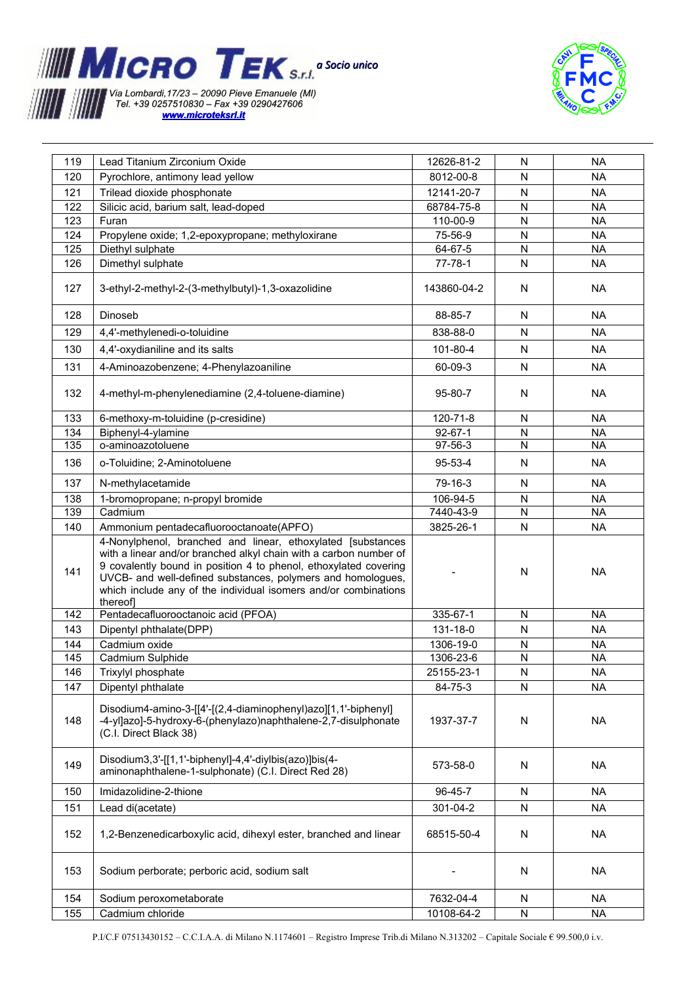



| 119 | Lead Titanium Zirconium Oxide                                                                                                                                                                                                                                                                                                                     | 12626-81-2    | N              | <b>NA</b> |
|-----|---------------------------------------------------------------------------------------------------------------------------------------------------------------------------------------------------------------------------------------------------------------------------------------------------------------------------------------------------|---------------|----------------|-----------|
| 120 | Pyrochlore, antimony lead yellow                                                                                                                                                                                                                                                                                                                  | 8012-00-8     | N              | <b>NA</b> |
| 121 | Trilead dioxide phosphonate                                                                                                                                                                                                                                                                                                                       | 12141-20-7    | ${\sf N}$      | <b>NA</b> |
| 122 | Silicic acid, barium salt, lead-doped                                                                                                                                                                                                                                                                                                             | 68784-75-8    | N              | <b>NA</b> |
| 123 | Furan                                                                                                                                                                                                                                                                                                                                             | 110-00-9      | ${\sf N}$      | <b>NA</b> |
| 124 | Propylene oxide; 1,2-epoxypropane; methyloxirane                                                                                                                                                                                                                                                                                                  | 75-56-9       | N              | <b>NA</b> |
| 125 | Diethyl sulphate                                                                                                                                                                                                                                                                                                                                  | 64-67-5       | ${\sf N}$      | <b>NA</b> |
| 126 | Dimethyl sulphate                                                                                                                                                                                                                                                                                                                                 | $77 - 78 - 1$ | N              | <b>NA</b> |
|     |                                                                                                                                                                                                                                                                                                                                                   |               |                |           |
| 127 | 3-ethyl-2-methyl-2-(3-methylbutyl)-1,3-oxazolidine                                                                                                                                                                                                                                                                                                | 143860-04-2   | N              | NA        |
| 128 | Dinoseb                                                                                                                                                                                                                                                                                                                                           | 88-85-7       | N              | <b>NA</b> |
| 129 | 4,4'-methylenedi-o-toluidine                                                                                                                                                                                                                                                                                                                      | 838-88-0      | ${\sf N}$      | <b>NA</b> |
| 130 | 4,4'-oxydianiline and its salts                                                                                                                                                                                                                                                                                                                   | 101-80-4      | N              | <b>NA</b> |
|     |                                                                                                                                                                                                                                                                                                                                                   |               |                |           |
| 131 | 4-Aminoazobenzene; 4-Phenylazoaniline                                                                                                                                                                                                                                                                                                             | 60-09-3       | N              | <b>NA</b> |
| 132 | 4-methyl-m-phenylenediamine (2,4-toluene-diamine)                                                                                                                                                                                                                                                                                                 | 95-80-7       | N              | <b>NA</b> |
| 133 | 6-methoxy-m-toluidine (p-cresidine)                                                                                                                                                                                                                                                                                                               | 120-71-8      | N              | <b>NA</b> |
| 134 | Biphenyl-4-ylamine                                                                                                                                                                                                                                                                                                                                | $92 - 67 - 1$ | N              | <b>NA</b> |
| 135 | o-aminoazotoluene                                                                                                                                                                                                                                                                                                                                 | 97-56-3       | N              | <b>NA</b> |
| 136 | o-Toluidine; 2-Aminotoluene                                                                                                                                                                                                                                                                                                                       | 95-53-4       | N              | <b>NA</b> |
| 137 | N-methylacetamide                                                                                                                                                                                                                                                                                                                                 | 79-16-3       | N              | <b>NA</b> |
| 138 | 1-bromopropane; n-propyl bromide                                                                                                                                                                                                                                                                                                                  | 106-94-5      | N              | <b>NA</b> |
| 139 | Cadmium                                                                                                                                                                                                                                                                                                                                           | 7440-43-9     | $\overline{N}$ | <b>NA</b> |
| 140 | Ammonium pentadecafluorooctanoate(APFO)                                                                                                                                                                                                                                                                                                           | 3825-26-1     | N              | <b>NA</b> |
| 141 | 4-Nonylphenol, branched and linear, ethoxylated [substances<br>with a linear and/or branched alkyl chain with a carbon number of<br>9 covalently bound in position 4 to phenol, ethoxylated covering<br>UVCB- and well-defined substances, polymers and homologues,<br>which include any of the individual isomers and/or combinations<br>thereof |               | N              | <b>NA</b> |
| 142 | Pentadecafluorooctanoic acid (PFOA)                                                                                                                                                                                                                                                                                                               | 335-67-1      | N              | <b>NA</b> |
| 143 | Dipentyl phthalate(DPP)                                                                                                                                                                                                                                                                                                                           | 131-18-0      | N              | <b>NA</b> |
| 144 | Cadmium oxide                                                                                                                                                                                                                                                                                                                                     | 1306-19-0     | ${\sf N}$      | <b>NA</b> |
| 145 | Cadmium Sulphide                                                                                                                                                                                                                                                                                                                                  | 1306-23-6     | ${\sf N}$      | <b>NA</b> |
| 146 | Trixylyl phosphate                                                                                                                                                                                                                                                                                                                                | 25155-23-1    | ${\sf N}$      | <b>NA</b> |
| 147 | Dipentyl phthalate                                                                                                                                                                                                                                                                                                                                | 84-75-3       | N              | <b>NA</b> |
| 148 | Disodium4-amino-3-[[4'-[(2,4-diaminophenyl)azo][1,1'-biphenyl]<br>-4-yl]azo]-5-hydroxy-6-(phenylazo)naphthalene-2,7-disulphonate<br>(C.I. Direct Black 38)                                                                                                                                                                                        | 1937-37-7     | N              | <b>NA</b> |
| 149 | Disodium3,3'-[[1,1'-biphenyl]-4,4'-diylbis(azo)]bis(4-<br>aminonaphthalene-1-sulphonate) (C.I. Direct Red 28)                                                                                                                                                                                                                                     | 573-58-0      | N              | <b>NA</b> |
| 150 | Imidazolidine-2-thione                                                                                                                                                                                                                                                                                                                            | 96-45-7       | N              | <b>NA</b> |
| 151 | Lead di(acetate)                                                                                                                                                                                                                                                                                                                                  | 301-04-2      | N              | <b>NA</b> |
| 152 | 1,2-Benzenedicarboxylic acid, dihexyl ester, branched and linear                                                                                                                                                                                                                                                                                  | 68515-50-4    | N              | <b>NA</b> |
| 153 | Sodium perborate; perboric acid, sodium salt                                                                                                                                                                                                                                                                                                      |               | N              | <b>NA</b> |
| 154 | Sodium peroxometaborate                                                                                                                                                                                                                                                                                                                           | 7632-04-4     | N              | <b>NA</b> |
| 155 | Cadmium chloride                                                                                                                                                                                                                                                                                                                                  | 10108-64-2    |                |           |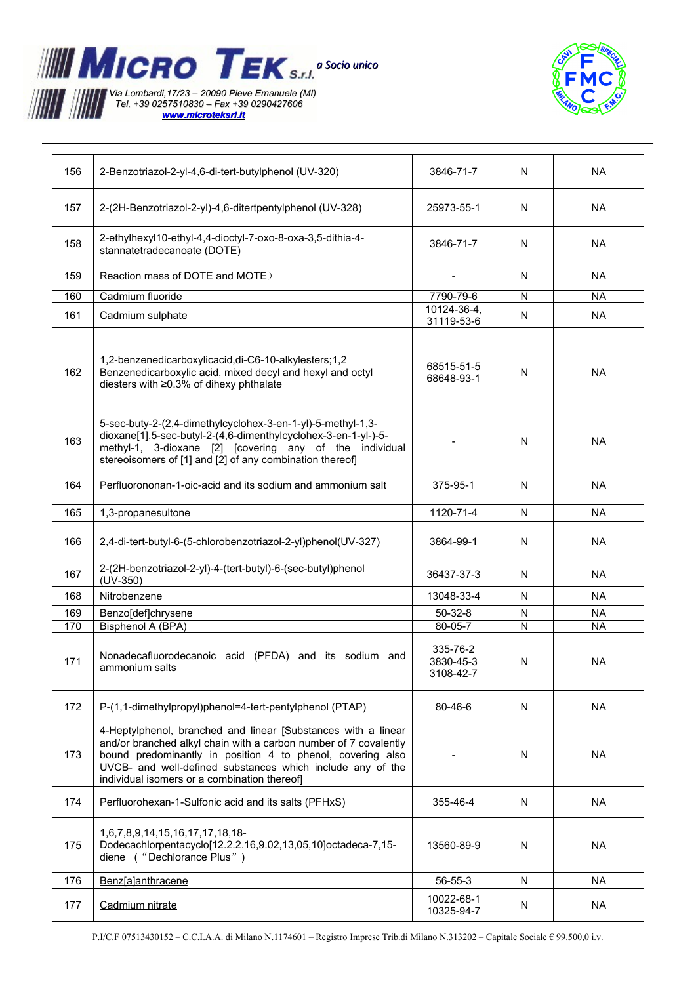



| 156 | 2-Benzotriazol-2-yl-4,6-di-tert-butylphenol (UV-320)                                                                                                                                                                                                                                                          | 3846-71-7                          | N            | <b>NA</b> |
|-----|---------------------------------------------------------------------------------------------------------------------------------------------------------------------------------------------------------------------------------------------------------------------------------------------------------------|------------------------------------|--------------|-----------|
| 157 | 2-(2H-Benzotriazol-2-yl)-4,6-ditertpentylphenol (UV-328)                                                                                                                                                                                                                                                      | 25973-55-1                         | N            | <b>NA</b> |
| 158 | 2-ethylhexyl10-ethyl-4,4-dioctyl-7-oxo-8-oxa-3,5-dithia-4-<br>stannatetradecanoate (DOTE)                                                                                                                                                                                                                     | 3846-71-7                          | N            | <b>NA</b> |
| 159 | Reaction mass of DOTE and MOTE)                                                                                                                                                                                                                                                                               |                                    | N            | <b>NA</b> |
| 160 | Cadmium fluoride                                                                                                                                                                                                                                                                                              | 7790-79-6                          | N            | <b>NA</b> |
| 161 | Cadmium sulphate                                                                                                                                                                                                                                                                                              | 10124-36-4,                        | N            | <b>NA</b> |
|     |                                                                                                                                                                                                                                                                                                               | 31119-53-6                         |              |           |
| 162 | 1,2-benzenedicarboxylicacid, di-C6-10-alkylesters; 1,2<br>Benzenedicarboxylic acid, mixed decyl and hexyl and octyl<br>diesters with ≥0.3% of dihexy phthalate                                                                                                                                                | 68515-51-5<br>68648-93-1           | N            | <b>NA</b> |
| 163 | 5-sec-buty-2-(2,4-dimethylcyclohex-3-en-1-yl)-5-methyl-1,3-<br>dioxane[1],5-sec-butyl-2-(4,6-dimenthylcyclohex-3-en-1-yl-)-5-<br>methyl-1, 3-dioxane [2] [covering any of the individual<br>stereoisomers of [1] and [2] of any combination thereof]                                                          |                                    | N            | <b>NA</b> |
| 164 | Perfluorononan-1-oic-acid and its sodium and ammonium salt                                                                                                                                                                                                                                                    | 375-95-1                           | N            | <b>NA</b> |
| 165 | 1,3-propanesultone                                                                                                                                                                                                                                                                                            | 1120-71-4                          | $\mathsf{N}$ | <b>NA</b> |
| 166 | 2,4-di-tert-butyl-6-(5-chlorobenzotriazol-2-yl)phenol(UV-327)                                                                                                                                                                                                                                                 | 3864-99-1                          | N            | <b>NA</b> |
| 167 | 2-(2H-benzotriazol-2-yl)-4-(tert-butyl)-6-(sec-butyl)phenol<br>$(UV-350)$                                                                                                                                                                                                                                     | 36437-37-3                         | N            | <b>NA</b> |
| 168 | Nitrobenzene                                                                                                                                                                                                                                                                                                  | 13048-33-4                         | N            | <b>NA</b> |
| 169 | Benzo[def]chrysene                                                                                                                                                                                                                                                                                            | $50 - 32 - 8$                      | N            | <b>NA</b> |
| 170 | Bisphenol A (BPA)                                                                                                                                                                                                                                                                                             | 80-05-7                            | N            | <b>NA</b> |
| 171 | Nonadecafluorodecanoic acid (PFDA) and its sodium and<br>ammonium salts                                                                                                                                                                                                                                       | 335-76-2<br>3830-45-3<br>3108-42-7 | $\mathsf{N}$ | <b>NA</b> |
| 172 | P-(1,1-dimethylpropyl)phenol=4-tert-pentylphenol (PTAP)                                                                                                                                                                                                                                                       | 80-46-6                            | N            | <b>NA</b> |
| 173 | 4-Heptylphenol, branched and linear [Substances with a linear<br>and/or branched alkyl chain with a carbon number of 7 covalently<br>bound predominantly in position 4 to phenol, covering also<br>UVCB- and well-defined substances which include any of the<br>individual isomers or a combination thereof] |                                    | N            | <b>NA</b> |
| 174 | Perfluorohexan-1-Sulfonic acid and its salts (PFHxS)                                                                                                                                                                                                                                                          | 355-46-4                           | N            | <b>NA</b> |
| 175 | 1,6,7,8,9,14,15,16,17,17,18,18-<br>Dodecachlorpentacyclo[12.2.2.16,9.02,13,05,10]octadeca-7,15-<br>diene ("Dechlorance Plus")                                                                                                                                                                                 | 13560-89-9                         | N            | <b>NA</b> |
| 176 | Benz[a]anthracene                                                                                                                                                                                                                                                                                             | 56-55-3                            | N            | <b>NA</b> |
| 177 | Cadmium nitrate                                                                                                                                                                                                                                                                                               | 10022-68-1<br>10325-94-7           | N            | <b>NA</b> |
|     |                                                                                                                                                                                                                                                                                                               |                                    |              |           |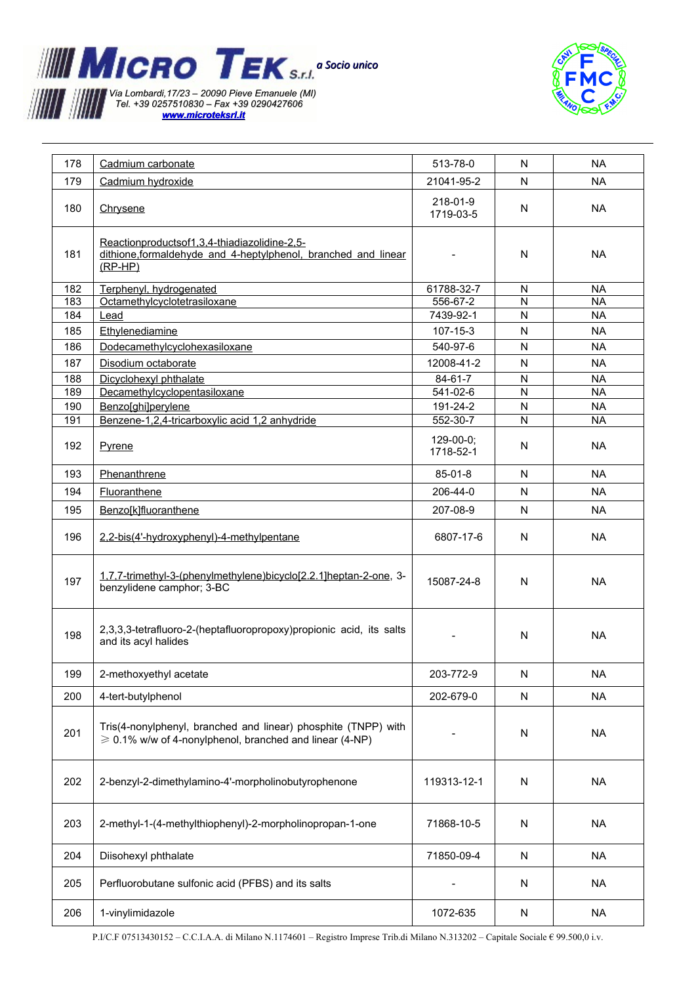



| 178 | Cadmium carbonate                                                                                                                   | 513-78-0                 | N              | <b>NA</b> |
|-----|-------------------------------------------------------------------------------------------------------------------------------------|--------------------------|----------------|-----------|
| 179 | Cadmium hydroxide                                                                                                                   | 21041-95-2               | N              | <b>NA</b> |
| 180 | Chrysene                                                                                                                            | 218-01-9<br>1719-03-5    | N              | <b>NA</b> |
| 181 | Reactionproductsof1,3,4-thiadiazolidine-2,5-<br>dithione, formaldehyde and 4-heptylphenol, branched and linear<br>$(RP-HP)$         |                          | N              | <b>NA</b> |
| 182 | Terphenyl, hydrogenated                                                                                                             | 61788-32-7               | N              | <b>NA</b> |
| 183 | Octamethylcyclotetrasiloxane                                                                                                        | 556-67-2                 | $\mathsf{N}$   | <b>NA</b> |
| 184 | Lead                                                                                                                                | 7439-92-1                | N              | <b>NA</b> |
| 185 | Ethylenediamine                                                                                                                     | 107-15-3                 | N              | <b>NA</b> |
| 186 | Dodecamethylcyclohexasiloxane                                                                                                       | 540-97-6                 | N              | <b>NA</b> |
| 187 | Disodium octaborate                                                                                                                 | 12008-41-2               | N              | <b>NA</b> |
| 188 | Dicyclohexyl phthalate                                                                                                              | $84 - 61 - 7$            | N              | <b>NA</b> |
| 189 | Decamethylcyclopentasiloxane                                                                                                        | 541-02-6                 | ${\sf N}$      | <b>NA</b> |
| 190 | Benzo[ghi]perylene                                                                                                                  | 191-24-2                 | N              | <b>NA</b> |
| 191 | Benzene-1,2,4-tricarboxylic acid 1,2 anhydride                                                                                      | 552-30-7                 | $\overline{N}$ | <b>NA</b> |
| 192 | Pyrene                                                                                                                              | $129-00-0;$<br>1718-52-1 | N              | <b>NA</b> |
| 193 | Phenanthrene                                                                                                                        | 85-01-8                  | N              | <b>NA</b> |
| 194 | Fluoranthene                                                                                                                        | 206-44-0                 | N              | <b>NA</b> |
| 195 | Benzo[k]fluoranthene                                                                                                                | 207-08-9                 | N              | <b>NA</b> |
|     |                                                                                                                                     |                          |                |           |
| 196 | 2,2-bis(4'-hydroxyphenyl)-4-methylpentane                                                                                           | 6807-17-6                | N              | <b>NA</b> |
| 197 | 1,7,7-trimethyl-3-(phenylmethylene)bicyclo[2.2.1]heptan-2-one, 3-<br>benzylidene camphor; 3-BC                                      | 15087-24-8               | N              | <b>NA</b> |
| 198 | 2,3,3,3-tetrafluoro-2-(heptafluoropropoxy)propionic acid, its salts<br>and its acyl halides                                         |                          | N              | <b>NA</b> |
| 199 | 2-methoxyethyl acetate                                                                                                              | 203-772-9                | N              | <b>NA</b> |
| 200 | 4-tert-butylphenol                                                                                                                  | 202-679-0                | N              | <b>NA</b> |
| 201 | Tris(4-nonylphenyl, branched and linear) phosphite (TNPP) with<br>$\geqslant$ 0.1% w/w of 4-nonylphenol, branched and linear (4-NP) |                          | N              | <b>NA</b> |
| 202 | 2-benzyl-2-dimethylamino-4'-morpholinobutyrophenone                                                                                 | 119313-12-1              | N              | <b>NA</b> |
| 203 | 2-methyl-1-(4-methylthiophenyl)-2-morpholinopropan-1-one                                                                            | 71868-10-5               | N              | <b>NA</b> |
| 204 | Diisohexyl phthalate                                                                                                                | 71850-09-4               | N              | <b>NA</b> |
| 205 | Perfluorobutane sulfonic acid (PFBS) and its salts                                                                                  |                          | N              | NA        |
| 206 | 1-vinylimidazole                                                                                                                    | 1072-635                 | N              | <b>NA</b> |